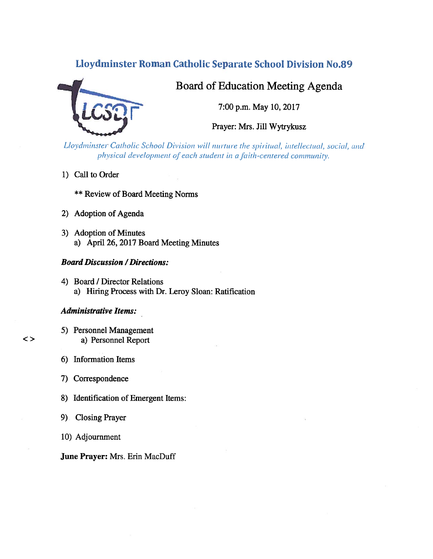# Lloydminster Roman Catholic Separate School Division No.89



# Board of Education Meeting Agenda

7:00 p.m. May 10, 2017

Prayer: Mrs. Jill Wytrykusz

Lloydminster Catholic School Division will nurture the spiritual, intellectual, social, and physical development of each student in a faith-centered community.

1) Call to Order

\*\* Review of Board Meeting Norms

- 2) Adoption of Agenda
- 3) Adoption of Minutes a) April 26, 2017 Board Meeting Minutes

## Board Discussion /Directions:

4) Board / Director Relations a) Hiring Process with Dr. Leroy Sloan: Ratification

### Administrative Items:

- 5) Personnel Management <> a) Personnel Report
	- 6) Information Items
	- 7) Correspondence
	- 8) Identification of Emergent Items:
	- 9) Closing Prayer
	- 10) Adjournment

### June Prayer: Mrs. Erin MacDuff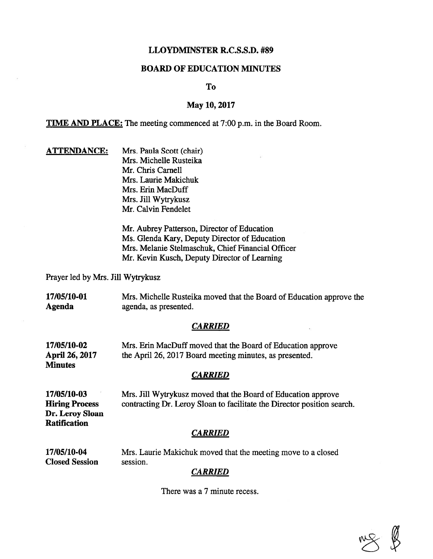# LLOYDMINSTER R.C.S.S.D. #89

## BOARD OF EDUCATION MINUTES

To

### May 10, 2017

TIME AND PLACE: The meeting commenced at 7:00 p.m. in the Board Room.

**ATTENDANCE:** Mrs. Paula Scott (chair) Mrs. Michelle Rusteika Mr. Chris Camel! Mrs. Laurie Makichuk Mrs. Erin MacDuff Mrs. Jill Wytrykusz Mr. Calvin fendelet

> Mr. Aubrey Patterson, Director of Education Ms. Glenda Kary, Deputy Director of Education Mrs. Melanie Stelmaschuk, Chief Financial Officer Mr. Kevin Kusch, Deputy Director of Learning

Prayer led by Mrs. Jill Wytrykusz

17/05/10-01 Mrs. Michelle Rusteika moved that the Board of Education approve the Agenda agenda, as presented.

#### **CARRIED**

| 17/05/10-02    | Mrs. Erin MacDuff moved that the Board of Education approve |
|----------------|-------------------------------------------------------------|
| April 26, 2017 | the April 26, 2017 Board meeting minutes, as presented.     |
| Minutes        |                                                             |

#### **CARRIED**

17/05/10-03 Mrs. Jill Wytrykusz moved that the Board of Education approve Hiring Process contracting Dr. Leroy Sloan to facilitate the Director position search. Dr. Leroy Sloan **Ratification** 

### CARRIED

17/05/10-04 Mrs. Laurie Makichuk moved that the meeting move to <sup>a</sup> closed Closed Session session.

#### CARRIED

There was <sup>a</sup> 7 minute recess.